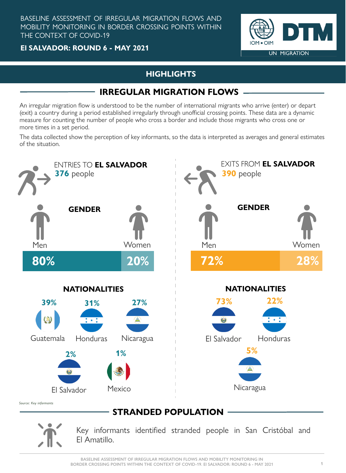The data collected show the perception of key informants, so the data is interpreted as averages and general estimates of the situation.

> Key informants identified stranded people in San Cristóbal and El Amatillo.

**El SALVADOR: ROUND 6 - MAY 2021**

BASELINE ASSESSMENT OF IRREGULAR MIGRATION FLOWS AND MOBILITY MONITORING IN BORDER CROSSING POINTS WITHIN THE CONTEXT OF COVID-19

An irregular migration flow is understood to be the number of international migrants who arrive (enter) or depart (exit) a country during a period established irregularly through unofficial crossing points. These data are a dynamic measure for counting the number of people who cross a border and include those migrants who cross one or more times in a set period.

# **HIGHLIGHTS**

# **IRREGULAR MIGRATION FLOWS**





Source: Key informants

# **STRANDED POPULATION**

**BASELINE ASSESSMENT OF IRREGULAR MIGRATION FLOWS AND MOBILITY MONITORING IN BORDER CROSSING POINTS WITHIN THE CONTEXT OF COVID-19. El SALVADOR: ROUND 6 - MAY 2021**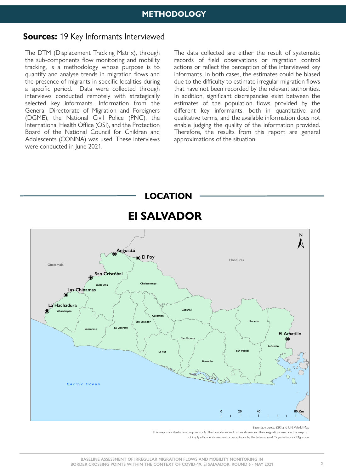The DTM (Displacement Tracking Matrix), through the sub-components flow monitoring and mobility tracking, is a methodology whose purpose is to quantify and analyse trends in migration flows and the presence of migrants in specific localities during a specific period. Data were collected through interviews conducted remotely with strategically selected key informants. Information from the General Directorate of Migration and Foreigners (DGME), the National Civil Police (PNC), the International Health Office (OSI), and the Protection Board of the National Council for Children and Adolescents (CONNA) was used. These interviews were conducted in June 2021.

The data collected are either the result of systematic records of field observations or migration control actions or reflect the perception of the interviewed key informants. In both cases, the estimates could be biased due to the difficulty to estimate irregular migration flows that have not been recorded by the relevant authorities. In addition, significant discrepancies exist between the estimates of the population flows provided by the different key informants, both in quantitative and qualitative terms, and the available information does not enable judging the quality of the information provided. Therefore, the results from this report are general approximations of the situation.



Basemap source: ESRI and UN World Map This map is for illustration purposes only. The boundaries and names shown and the designations used on this map do not imply official endorsement or acceptance by the International Organization for Migration.

## **METHODOLOGY**

# **Sources:** 19 Key Informants Interviewed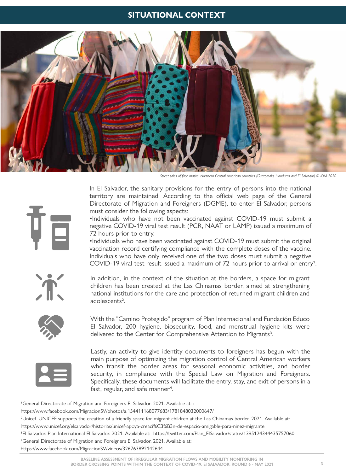In El Salvador, the sanitary provisions for the entry of persons into the national territory are maintained. According to the official web page of the General Directorate of Migration and Foreigners (DGME), to enter El Salvador, persons must consider the following aspects:

•Individuals who have not been vaccinated against COVID-19 must submit a negative COVID-19 viral test result (PCR, NAAT or LAMP) issued a maximum of 72 hours prior to entry.

Lastly, an activity to give identity documents to foreigners has begun with the main purpose of optimizing the migration control of Central American workers who transit the border areas for seasonal economic activities, and border security, in compliance with the Special Law on Migration and Foreigners. Specifically, these documents will facilitate the entry, stay, and exit of persons in a fast, regular, and safe manner<sup>4</sup>.

<sup>1</sup>General Directorate of Migration and Foreigners El Salvador. 2021. Available at: :

•Individuals who have been vaccinated against COVID-19 must submit the original vaccination record certifying compliance with the complete doses of the vaccine. Individuals who have only received one of the two doses must submit a negative

In addition, in the context of the situation at the borders, a space for migrant children has been created at the Las Chinamas border, aimed at strengthening national institutions for the care and protection of returned migrant children and adolescents<sup>2</sup>.



With the "Camino Protegido" program of Plan Internacional and Fundación Educo El Salvador, 200 hygiene, biosecurity, food, and menstrual hygiene kits were delivered to the Center for Comprehensive Attention to Migrants<sup>3</sup>.



COVID-19 viral test result issued a maximum of 72 hours prior to arrival or entry1.

https://www.facebook.com/MigracionSV/photos/a.154411168077683/1781848032000647/

<sup>2</sup>Unicef. UNICEF supports the creation of a friendly space for migrant children at the Las Chinamas border. 2021. Available at:

https://www.unicef.org/elsalvador/historias/unicef-apoya-creaci%C3%B3n-de-espacio-amigable-para-ninez-migrante

<sup>3</sup>El Salvador. Plan International El Salvador. 2021. Available at: https://twitter.com/Plan\_ElSalvador/status/1395124344435757060

4General Directorate of Migration and Foreigners El Salvador. 2021. Available at:

https://www.facebook.com/MigracionSV/videos/326763892142644

### **SITUATIONAL CONTEXT**



*Street sales of face masks. Northern Central American countries (Guatemala, Honduras and El Salvador) © IOM 2020*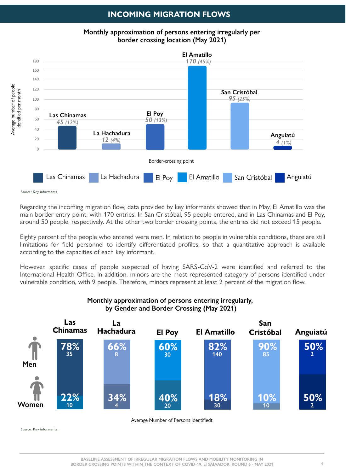Average number of people

## **INCOMING MIGRATION FLOWS**

Regarding the incoming migration flow, data provided by key informants showed that in May, El Amatillo was the main border entry point, with 170 entries. In San Cristóbal, 95 people entered, and in Las Chinamas and El Poy, around 50 people, respectively. At the other two border crossing points, the entries did not exceed 15 people.

Eighty percent of the people who entered were men. In relation to people in vulnerable conditions, there are still limitations for field personnel to identify differentiated profiles, so that a quantitative approach is available according to the capacities of each key informant.

However, specific cases of people suspected of having SARS-CoV-2 were identified and referred to the International Health Office. In addition, minors are the most represented category of persons identified under vulnerable condition, with 9 people. Therefore, minors represent at least 2 percent of the migration flow.

**Monthly approximation of persons entering irregularly per border crossing location (May 2021)**

#### **Monthly approximation of persons entering irregularly, by Gender and Border Crossing (May 2021)**



Average Number of Persons Identifiedt

Source: Key informants.

Source: Key informants.



**BASELINE ASSESSMENT OF IRREGULAR MIGRATION FLOWS AND MOBILITY MONITORING IN BORDER CROSSING POINTS WITHIN THE CONTEXT OF COVID-19. El SALVADOR: ROUND 6 - MAY 2021**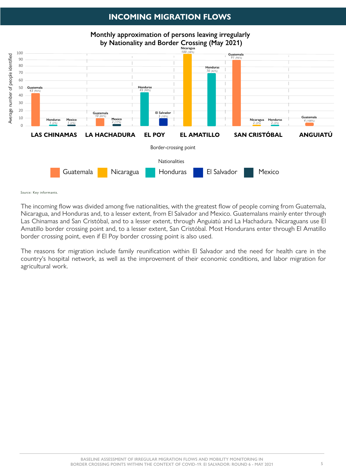## **INCOMING MIGRATION FLOWS**

The incoming flow was divided among five nationalities, with the greatest flow of people coming from Guatemala, Nicaragua, and Honduras and, to a lesser extent, from El Salvador and Mexico. Guatemalans mainly enter through Las Chinamas and San Cristóbal, and to a lesser extent, through Anguiatú and La Hachadura. Nicaraguans use El Amatillo border crossing point and, to a lesser extent, San Cristóbal. Most Hondurans enter through El Amatillo border crossing point, even if El Poy border crossing point is also used.

The reasons for migration include family reunification within El Salvador and the need for health care in the country's hospital network, as well as the improvement of their economic conditions, and labor migration for agricultural work.

#### **Monthly approximation of persons leaving irregularly by Nationality and Border Crossing (May 2021)**

Source: Key informants.

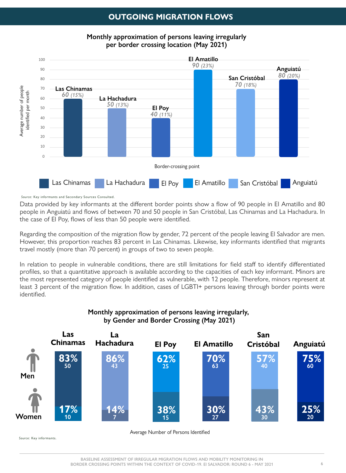**BASELINE ASSESSMENT OF IRREGULAR MIGRATION FLOWS AND MOBILITY MONITORING IN BORDER CROSSING POINTS WITHIN THE CONTEXT OF COVID-19. El SALVADOR: ROUND 6 - MAY 2021 6**

# **OUTGOING MIGRATION FLOWS**

Regarding the composition of the migration flow by gender, 72 percent of the people leaving El Salvador are men. However, this proportion reaches 83 percent in Las Chinamas. Likewise, key informants identified that migrants travel mostly (more than 70 percent) in groups of two to seven people.

In relation to people in vulnerable conditions, there are still limitations for field staff to identify differentiated profiles, so that a quantitative approach is available according to the capacities of each key informant. Minors are the most represented category of people identified as vulnerable, with 12 people. Therefore, minors represent at least 3 percent of the migration flow. In addition, cases of LGBTI+ persons leaving through border points were identified.

#### **Monthly approximation of persons leaving irregularly, by Gender and Border Crossing (May 2021)**



Average Number of Persons Identified

Source: Key informants.

**Monthly approximation of persons leaving irregularly per border crossing location (May 2021)**

Source: Key informants and Secondary Sources Consulted.

Data provided by key informants at the different border points show a flow of 90 people in El Amatillo and 80 people in Anguiatú and flows of between 70 and 50 people in San Cristóbal, Las Chinamas and La Hachadura. In the case of El Poy, flows of less than 50 people were identified.

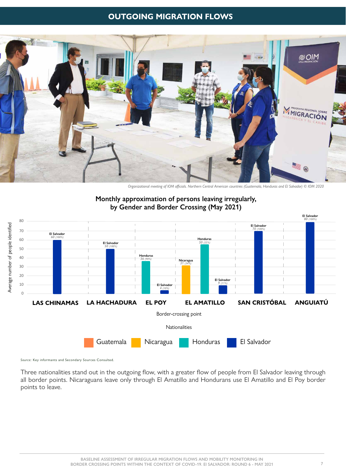# **OUTGOING MIGRATION FLOWS**



*Organizational meeting of IOM officials. Northern Central American countries (Guatemala, Honduras and El Salvador) © IOM 2020* 

Three nationalities stand out in the outgoing flow, with a greater flow of people from El Salvador leaving through all border points. Nicaraguans leave only through El Amatillo and Hondurans use El Amatillo and El Poy border points to leave.

Source: Key informants and Secondary Sources Consulted.

#### **Monthly approximation of persons leaving irregularly, by Gender and Border Crossing (May 2021)**

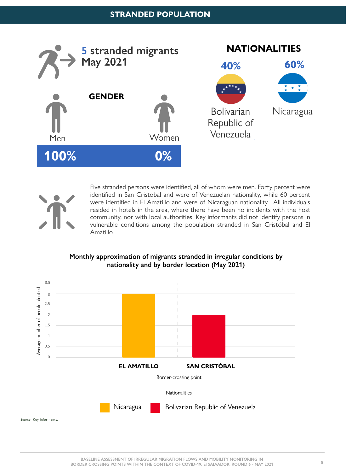### **STRANDED POPULATION**

Five stranded persons were identified, all of whom were men. Forty percent were identified in San Cristobal and were of Venezuelan nationality, while 60 percent were identified in El Amatillo and were of Nicaraguan nationality. All individuals resided in hotels in the area, where there have been no incidents with the host community, nor with local authorities. Key informants did not identify persons in vulnerable conditions among the population stranded in San Cristóbal and El Amatillo.





#### **Monthly approximation of migrants stranded in irregular conditions by nationality and by border location (May 2021)**